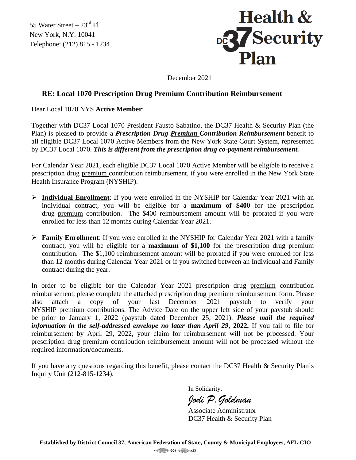55 Water Street  $-23^{\text{rd}}$  Fl New York, N.Y. 10041 Telephone: (212) 815 - 1234



December 2021

## **RE: Local 1070 Prescription Drug Premium Contribution Reimbursement**

Dear Local 1070 NYS **Active Member**:

Together with DC37 Local 1070 President Fausto Sabatino, the DC37 Health & Security Plan (the Plan) is pleased to provide a *Prescription Drug Premium Contribution Reimbursement* benefit to all eligible DC37 Local 1070 Active Members from the New York State Court System, represented by DC37 Local 1070. *This is different from the prescription drug co-payment reimbursement.*

For Calendar Year 2021, each eligible DC37 Local 1070 Active Member will be eligible to receive a prescription drug premium contribution reimbursement, if you were enrolled in the New York State Health Insurance Program (NYSHIP).

- **Individual Enrollment**: If you were enrolled in the NYSHIP for Calendar Year 2021 with an individual contract, you will be eligible for a **maximum of \$400** for the prescription drug premium contribution. The \$400 reimbursement amount will be prorated if you were enrolled for less than 12 months during Calendar Year 2021.
- **Family Enrollment**: If you were enrolled in the NYSHIP for Calendar Year 2021 with a family contract, you will be eligible for a **maximum of \$1,100** for the prescription drug premium contribution. The \$1,100 reimbursement amount will be prorated if you were enrolled for less than 12 months during Calendar Year 2021 or if you switched between an Individual and Family contract during the year.

In order to be eligible for the Calendar Year 2021 prescription drug premium contribution reimbursement, please complete the attached prescription drug premium reimbursement form. Please also attach a copy of your last December 2021 paystub to verify your NYSHIP premium contributions. The Advice Date on the upper left side of your paystub should be prior to January 1, 2022 (paystub dated December 25, 2021). *Please mail the required information in the self-addressed envelope no later than April 29***, 2022.** If you fail to file for reimbursement by April 29, 2022, your claim for reimbursement will not be processed. Your prescription drug premium contribution reimbursement amount will not be processed without the required information/documents.

If you have any questions regarding this benefit, please contact the DC37 Health & Security Plan's Inquiry Unit (212-815-1234).

In Solidarity,

*Jodi P.Goldman*

Associate Administrator DC37 Health & Security Plan